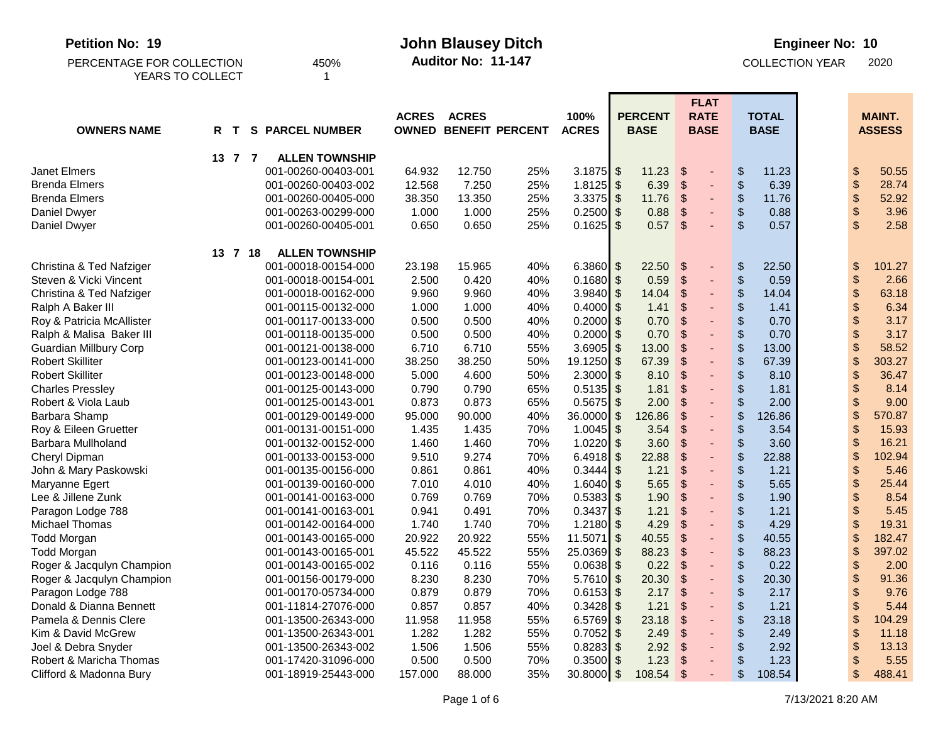| Auditor No: 11-147<br><b>COLLECTION YEAR</b><br>PERCENTAGE FOR COLLECTION<br>450%                                                                                                                                                                                                               | 2020            |
|-------------------------------------------------------------------------------------------------------------------------------------------------------------------------------------------------------------------------------------------------------------------------------------------------|-----------------|
|                                                                                                                                                                                                                                                                                                 |                 |
| YEARS TO COLLECT<br>1                                                                                                                                                                                                                                                                           |                 |
| <b>FLAT</b>                                                                                                                                                                                                                                                                                     |                 |
| <b>PERCENT</b><br><b>RATE</b><br><b>ACRES</b><br><b>ACRES</b><br>100%<br><b>TOTAL</b>                                                                                                                                                                                                           | <b>MAINT.</b>   |
| <b>OWNED BENEFIT PERCENT</b><br><b>OWNERS NAME</b><br><b>S PARCEL NUMBER</b><br><b>ACRES</b><br><b>BASE</b><br><b>BASE</b><br><b>BASE</b><br>R T                                                                                                                                                | <b>ASSESS</b>   |
| 13 7 7<br><b>ALLEN TOWNSHIP</b>                                                                                                                                                                                                                                                                 |                 |
| \$<br><b>Janet Elmers</b><br>001-00260-00403-001<br>64.932<br>12.750<br>25%<br>3.1875 \$<br>11.23<br>\$<br>11.23<br>\$                                                                                                                                                                          | 50.55           |
| $\boldsymbol{\$}$<br>$\boldsymbol{\theta}$<br>6.39<br><b>Brenda Elmers</b><br>12.568<br>7.250<br>25%<br>1.8125<br>\$<br>$\boldsymbol{\mathsf{S}}$<br>6.39<br>001-00260-00403-002<br>$\blacksquare$                                                                                              | 28.74           |
| $\boldsymbol{\$}$<br>$\,$<br>3.3375<br>11.76<br>$\mathfrak{F}$<br>11.76<br><b>Brenda Elmers</b><br>001-00260-00405-000<br>38.350<br>13.350<br>25%<br>\$<br>$\overline{\phantom{0}}$                                                                                                             | 52.92           |
| $\,$<br>\$<br>25%<br>0.2500<br>\$<br>0.88<br>$\mathfrak{F}$<br>0.88<br>Daniel Dwyer<br>001-00263-00299-000<br>1.000<br>1.000                                                                                                                                                                    | 3.96            |
| $\sqrt{2}$<br>$\mathcal{S}$<br>$\$\$<br>$0.1625$ \$<br>0.57<br>0.57<br>Daniel Dwyer<br>001-00260-00405-001<br>0.650<br>0.650<br>25%                                                                                                                                                             | 2.58            |
| <b>ALLEN TOWNSHIP</b><br>13 7 18                                                                                                                                                                                                                                                                |                 |
| $\sqrt[6]{\frac{1}{2}}$<br>$\,$<br>\$<br>6.3860 $$$<br>22.50<br>Christina & Ted Nafziger<br>001-00018-00154-000<br>23.198<br>15.965<br>40%<br>22.50                                                                                                                                             | 101.27          |
| $\frac{1}{2}$<br>\$<br>Steven & Vicki Vincent<br>40%<br>$0.1680$ \$<br>0.59<br>\$<br>001-00018-00154-001<br>2.500<br>0.420<br>0.59<br>$\overline{\phantom{0}}$                                                                                                                                  | 2.66            |
| $\boldsymbol{\$}$<br>$\boldsymbol{\theta}$<br>14.04<br>$3.9840$ \$<br>$\boldsymbol{\mathsf{S}}$<br>14.04<br>Christina & Ted Nafziger<br>001-00018-00162-000<br>9.960<br>9.960<br>40%                                                                                                            | 63.18           |
| \$<br>\$<br>$0.4000$ \$<br>1.41<br>\$<br>Ralph A Baker III<br>1.000<br>1.000<br>40%<br>1.41<br>001-00115-00132-000                                                                                                                                                                              | 6.34            |
| \$<br>\$<br>0.70<br>$\mathcal{S}$<br>0.500<br>0.2000<br>\$<br>0.70<br>Roy & Patricia McAllister<br>001-00117-00133-000<br>0.500<br>40%<br>$\overline{\phantom{0}}$                                                                                                                              | 3.17            |
| \$<br>0.70<br>$\mathcal{S}$<br>\$<br>0.2000<br>\$<br>0.70<br>Ralph & Malisa Baker III<br>0.500<br>0.500<br>40%<br>001-00118-00135-000<br>÷,                                                                                                                                                     | 3.17            |
| $\frac{1}{2}$<br>13.00<br>\$<br>6.710<br>55%<br>3.6905<br>\$<br>\$<br>13.00<br><b>Guardian Millbury Corp</b><br>001-00121-00138-000<br>6.710                                                                                                                                                    | 58.52           |
| $\boldsymbol{\$}$<br>$\frac{1}{2}$<br>67.39<br>$\boldsymbol{\mathsf{S}}$<br>19.1250<br>\$<br>67.39<br><b>Robert Skilliter</b><br>001-00123-00141-000<br>38.250<br>38.250<br>50%                                                                                                                 | 303.27          |
| \$<br>\$<br>8.10<br>$\sqrt{2}$<br><b>Robert Skilliter</b><br>$2.3000$ \$<br>001-00123-00148-000<br>5.000<br>4.600<br>50%<br>8.10                                                                                                                                                                | 36.47           |
| \$<br>\$<br>$\boldsymbol{\mathsf{S}}$<br>$0.5135$ \$<br>1.81<br>1.81<br><b>Charles Pressley</b><br>001-00125-00143-000<br>0.790<br>0.790<br>65%<br>$\overline{\phantom{0}}$                                                                                                                     | 8.14            |
| \$<br>$\boldsymbol{\mathsf{S}}$<br>\$<br>65%<br>2.00<br>2.00<br>Robert & Viola Laub<br>0.873<br>0.873<br>0.5675<br>\$<br>001-00125-00143-001<br>÷,                                                                                                                                              | 9.00            |
| \$<br>126.86<br>$\mathcal{S}$<br>\$<br>40%<br>36.0000<br>$\boldsymbol{\mathsf{S}}$<br>126.86<br>Barbara Shamp<br>001-00129-00149-000<br>95.000<br>90.000                                                                                                                                        | 570.87          |
| \$<br>$\boldsymbol{\mathsf{S}}$<br>\$<br>$1.0045$ \$<br>3.54<br>3.54<br>Roy & Eileen Gruetter<br>001-00131-00151-000<br>1.435<br>1.435<br>70%                                                                                                                                                   | 15.93           |
| \$<br>\$<br>3.60<br>$\sqrt{2}$<br>$1.0220$ \$<br>3.60<br>Barbara Mullholand<br>1.460<br>1.460<br>70%<br>001-00132-00152-000                                                                                                                                                                     | 16.21           |
| \$<br>\$<br>6.4918<br>22.88<br>\$<br>22.88<br>Cheryl Dipman<br>001-00133-00153-000<br>9.510<br>9.274<br>70%<br>\$                                                                                                                                                                               | 102.94          |
| \$<br>$\boldsymbol{\mathsf{S}}$<br>\$<br>0.3444<br>\$<br>1.21<br>John & Mary Paskowski<br>0.861<br>0.861<br>40%<br>1.21<br>001-00135-00156-000                                                                                                                                                  | 5.46            |
| $\mathcal{S}$<br>\$<br>$\boldsymbol{\theta}$<br>40%<br>1.6040<br>\$<br>5.65<br>5.65<br>7.010<br>4.010<br>Maryanne Egert<br>001-00139-00160-000                                                                                                                                                  | 25.44           |
| $\boldsymbol{\theta}$<br>$\frac{1}{2}$<br>$\boldsymbol{\mathsf{S}}$<br>Lee & Jillene Zunk<br>0.5383<br>\$<br>1.90<br>001-00141-00163-000<br>0.769<br>0.769<br>70%<br>1.90                                                                                                                       | 8.54            |
| $\boldsymbol{\theta}$<br>\$<br>\$<br>70%<br>$0.3437$ \$<br>1.21<br>1.21<br>Paragon Lodge 788<br>001-00141-00163-001<br>0.941<br>0.491                                                                                                                                                           | 5.45            |
| \$<br>$\boldsymbol{\theta}$<br>\$<br>1.2180<br>$\sqrt[6]{3}$<br>4.29<br>4.29<br>Michael Thomas<br>001-00142-00164-000<br>1.740<br>1.740<br>70%<br>$\overline{\phantom{0}}$<br>\$<br>$\boldsymbol{\mathsf{S}}$<br>001-00143-00165-000                                                            | 19.31<br>182.47 |
| $\boldsymbol{\$}$<br>55%<br>11.5071<br>$\sqrt[6]{3}$<br>40.55<br><b>Todd Morgan</b><br>20.922<br>20.922<br>40.55<br>$\overline{\phantom{0}}$<br>88.23<br>$\boldsymbol{\mathsf{S}}$<br>\$<br>\$<br>45.522<br>55%<br>$25.0369$ \$<br>88.23<br><b>Todd Morgan</b><br>001-00143-00165-001<br>45.522 | 397.02          |
| \$<br>$0.0638$ \$<br>\$<br>55%<br>0.22<br>¢<br>0.22<br>001-00143-00165-002<br>0.116<br>0.116                                                                                                                                                                                                    | 2.00            |
| Roger & Jacqulyn Champion<br>\$<br>Roger & Jacqulyn Champion<br>$5.7610$ \$<br>\$<br>20.30<br>8.230<br>70%<br>20.30<br>$\boldsymbol{\mathsf{S}}$<br>001-00156-00179-000<br>8.230                                                                                                                | 91.36           |
| \$<br>Paragon Lodge 788<br>001-00170-05734-000<br>0.879<br>0.879<br>70%<br>$0.6153$ \$<br>2.17<br>\$<br>2.17<br>\$                                                                                                                                                                              | 9.76            |
| \$<br>\$<br>Donald & Dianna Bennett<br>0.857<br>0.857<br>$0.3428$ \$<br>1.21<br>1.21<br>001-11814-27076-000<br>40%<br>S                                                                                                                                                                         | 5.44            |
| Pamela & Dennis Clere<br>001-13500-26343-000<br>11.958<br>55%<br>6.5769<br>23.18<br>\$<br>23.18<br>\$<br>11.958<br>-\$<br>\$                                                                                                                                                                    | 104.29          |
| \$<br>Kim & David McGrew<br>001-13500-26343-001<br>1.282<br>1.282<br>55%<br>$0.7052$ \$<br>2.49<br>\$<br>2.49<br>\$                                                                                                                                                                             | 11.18           |
| \$<br>Joel & Debra Snyder<br>001-13500-26343-002<br>1.506<br>1.506<br>55%<br>$0.8283$ \$<br>2.92<br>\$<br>\$<br>2.92                                                                                                                                                                            | 13.13           |
| \$<br>Robert & Maricha Thomas<br>$0.3500$ \$<br>001-17420-31096-000<br>0.500<br>0.500<br>70%<br>1.23<br>\$<br>1.23<br>-\$                                                                                                                                                                       | 5.55            |
| $\mathcal{S}$<br>Clifford & Madonna Bury<br>$\frac{1}{2}$<br>001-18919-25443-000<br>157.000<br>35%<br>$30.8000$ \$<br>$108.54$ \$<br>108.54<br>88.000<br>$\blacksquare$                                                                                                                         | 488.41          |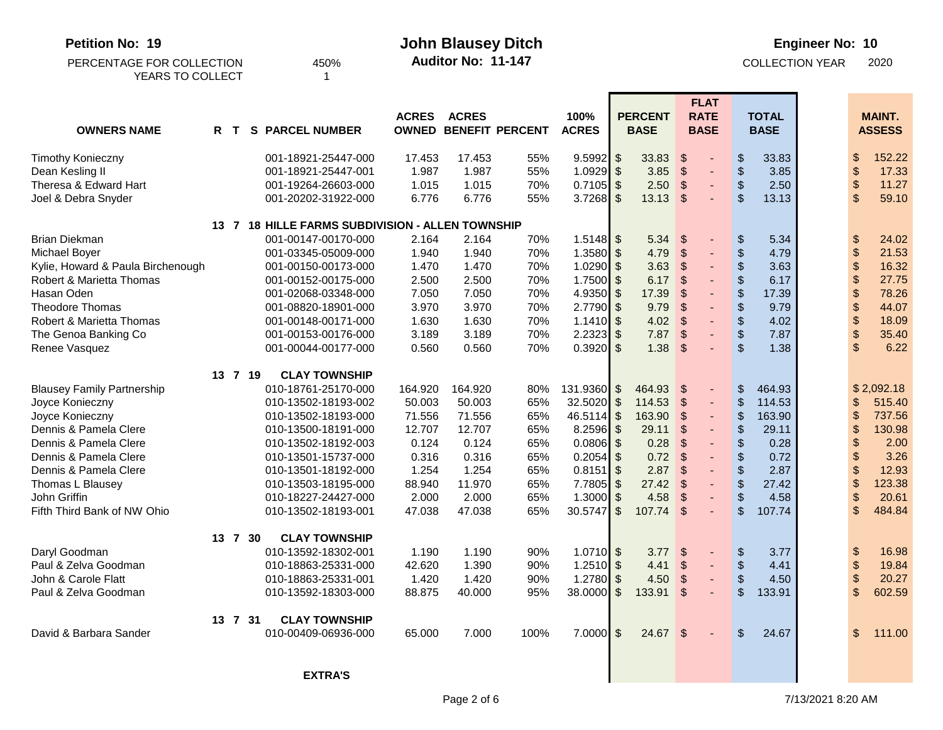| Petition No: 19                   |     | <b>John Blausey Ditch</b>                        |              |                    |                              |              |                |                |                                           | <b>Engineer No: 10</b>             |  |                            |               |  |  |
|-----------------------------------|-----|--------------------------------------------------|--------------|--------------------|------------------------------|--------------|----------------|----------------|-------------------------------------------|------------------------------------|--|----------------------------|---------------|--|--|
| PERCENTAGE FOR COLLECTION         |     | 450%                                             |              | Auditor No: 11-147 |                              |              |                |                |                                           | <b>COLLECTION YEAR</b>             |  |                            | 2020          |  |  |
| YEARS TO COLLECT                  |     |                                                  |              |                    |                              |              |                |                |                                           |                                    |  |                            |               |  |  |
|                                   |     |                                                  |              |                    |                              |              |                |                | <b>FLAT</b>                               |                                    |  |                            |               |  |  |
|                                   |     |                                                  | <b>ACRES</b> | <b>ACRES</b>       |                              | 100%         |                | <b>PERCENT</b> | <b>RATE</b>                               | <b>TOTAL</b>                       |  |                            | <b>MAINT.</b> |  |  |
| <b>OWNERS NAME</b>                | R T | <b>S PARCEL NUMBER</b>                           |              |                    | <b>OWNED BENEFIT PERCENT</b> | <b>ACRES</b> |                | <b>BASE</b>    | <b>BASE</b>                               | <b>BASE</b>                        |  |                            | <b>ASSESS</b> |  |  |
| <b>Timothy Konieczny</b>          |     | 001-18921-25447-000                              | 17.453       | 17.453             | 55%                          | $9.5992$ \$  |                | 33.83          | $\frac{1}{2}$                             | \$<br>33.83                        |  | \$                         | 152.22        |  |  |
| Dean Kesling II                   |     | 001-18921-25447-001                              | 1.987        | 1.987              | 55%                          | $1.0929$ \$  |                | 3.85           | $\frac{1}{2}$                             | \$<br>3.85                         |  | \$                         | 17.33         |  |  |
| Theresa & Edward Hart             |     | 001-19264-26603-000                              | 1.015        | 1.015              | 70%                          | $0.7105$ \$  |                | 2.50           | $\sqrt[6]{3}$<br>$\overline{\phantom{a}}$ | $\frac{1}{2}$<br>2.50              |  | \$                         | 11.27         |  |  |
| Joel & Debra Snyder               |     | 001-20202-31922-000                              | 6.776        | 6.776              | 55%                          | $3.7268$ \$  |                | 13.13          | $\boldsymbol{\mathsf{S}}$                 | $\mathfrak{S}$<br>13.13            |  | $\boldsymbol{\mathsf{S}}$  | 59.10         |  |  |
|                                   |     | 13 7 18 HILLE FARMS SUBDIVISION - ALLEN TOWNSHIP |              |                    |                              |              |                |                |                                           |                                    |  |                            |               |  |  |
| <b>Brian Diekman</b>              |     | 001-00147-00170-000                              | 2.164        | 2.164              | 70%                          | $1.5148$ \$  |                | 5.34           | \$                                        | \$<br>5.34                         |  | \$                         | 24.02         |  |  |
| Michael Boyer                     |     | 001-03345-05009-000                              | 1.940        | 1.940              | 70%                          | $1.3580$ \$  |                | 4.79           | $\frac{1}{2}$                             | \$<br>4.79                         |  | \$                         | 21.53         |  |  |
| Kylie, Howard & Paula Birchenough |     | 001-00150-00173-000                              | 1.470        | 1.470              | 70%                          | $1.0290$ \$  |                | 3.63           | $\frac{1}{2}$<br>$\overline{\phantom{a}}$ | \$<br>3.63                         |  | $\boldsymbol{\mathsf{\$}}$ | 16.32         |  |  |
| Robert & Marietta Thomas          |     | 001-00152-00175-000                              | 2.500        | 2.500              | 70%                          | $1.7500$ \$  |                | 6.17           | $\sqrt{2}$<br>-                           | \$<br>6.17                         |  | $\boldsymbol{\theta}$      | 27.75         |  |  |
| Hasan Oden                        |     | 001-02068-03348-000                              | 7.050        | 7.050              | 70%                          | 4.9350 $$$   |                | 17.39          | $\mathfrak{S}$                            | \$<br>17.39                        |  | $\boldsymbol{\$}$          | 78.26         |  |  |
| <b>Theodore Thomas</b>            |     | 001-08820-18901-000                              | 3.970        | 3.970              | 70%                          | $2.7790$ \$  |                | 9.79           | \$                                        | \$<br>9.79                         |  | $\boldsymbol{\$}$          | 44.07         |  |  |
| Robert & Marietta Thomas          |     | 001-00148-00171-000                              | 1.630        | 1.630              | 70%                          | $1.1410$ \$  |                | 4.02           | $\boldsymbol{\mathsf{S}}$<br>-            | \$<br>4.02                         |  | \$                         | 18.09         |  |  |
| The Genoa Banking Co              |     | 001-00153-00176-000                              | 3.189        | 3.189              | 70%                          | $2.2323$ \$  |                | 7.87           | \$                                        | \$<br>7.87                         |  | $\boldsymbol{\$}$          | 35.40         |  |  |
| Renee Vasquez                     |     | 001-00044-00177-000                              | 0.560        | 0.560              | 70%                          | $0.3920$ \$  |                | 1.38           | \$                                        | $\mathfrak{L}$<br>1.38             |  | $\mathsf{\$}$              | 6.22          |  |  |
|                                   |     | 13 7 19<br><b>CLAY TOWNSHIP</b>                  |              |                    |                              |              |                |                |                                           |                                    |  |                            |               |  |  |
| <b>Blausey Family Partnership</b> |     | 010-18761-25170-000                              | 164.920      | 164.920            | 80%                          | 131.9360 \$  |                | 464.93         | \$                                        | \$<br>464.93                       |  |                            | \$2,092.18    |  |  |
| Joyce Konieczny                   |     | 010-13502-18193-002                              | 50.003       | 50.003             | 65%                          | $32.5020$ \$ |                | 114.53         | $\frac{1}{2}$<br>÷,                       | \$<br>114.53                       |  | \$                         | 515.40        |  |  |
| Joyce Konieczny                   |     | 010-13502-18193-000                              | 71.556       | 71.556             | 65%                          | $46.5114$ \$ |                | 163.90         | $\sqrt{2}$<br>-                           | $\boldsymbol{\$}$<br>163.90        |  | \$                         | 737.56        |  |  |
| Dennis & Pamela Clere             |     | 010-13500-18191-000                              | 12.707       | 12.707             | 65%                          | $8.2596$ \$  |                | 29.11          | $\mathfrak{S}$                            | \$<br>29.11                        |  | \$                         | 130.98        |  |  |
| Dennis & Pamela Clere             |     | 010-13502-18192-003                              | 0.124        | 0.124              | 65%                          | $0.0806$ \$  |                | 0.28           | \$                                        | \$<br>0.28                         |  | \$                         | 2.00          |  |  |
| Dennis & Pamela Clere             |     | 010-13501-15737-000                              | 0.316        | 0.316              | 65%                          | $0.2054$ \$  |                | 0.72           | $\mathcal{S}$                             | \$<br>0.72                         |  | \$                         | 3.26          |  |  |
| Dennis & Pamela Clere             |     | 010-13501-18192-000                              | 1.254        | 1.254              | 65%                          | $0.8151$ \$  |                | 2.87           | \$                                        | \$<br>2.87                         |  | \$                         | 12.93         |  |  |
| Thomas L Blausey                  |     | 010-13503-18195-000                              | 88.940       | 11.970             | 65%                          | 7.7805       | \$             | 27.42          | $\mathcal{S}$                             | $\boldsymbol{\mathsf{S}}$<br>27.42 |  | \$                         | 123.38        |  |  |
| John Griffin                      |     | 010-18227-24427-000                              | 2.000        | 2.000              | 65%                          | 1.3000       | $\mathfrak{L}$ | 4.58           | \$                                        | \$<br>4.58                         |  | $\frac{1}{2}$              | 20.61         |  |  |
| Fifth Third Bank of NW Ohio       |     | 010-13502-18193-001                              | 47.038       | 47.038             | 65%                          | $30.5747$ \$ |                | 107.74         | \$                                        | $\mathfrak{L}$<br>107.74           |  | \$                         | 484.84        |  |  |
|                                   |     | 13 7 30<br><b>CLAY TOWNSHIP</b>                  |              |                    |                              |              |                |                |                                           |                                    |  |                            |               |  |  |
| Daryl Goodman                     |     | 010-13592-18302-001                              | 1.190        | 1.190              | 90%                          | $1.0710$ \$  |                | 3.77           | $\sqrt{2}$                                | \$<br>3.77                         |  | $\boldsymbol{\theta}$      | 16.98         |  |  |
| Paul & Zelva Goodman              |     | 010-18863-25331-000                              | 42.620       | 1.390              | 90%                          | $1.2510$ \$  |                | 4.41           | \$                                        | \$<br>4.41                         |  | $\boldsymbol{\mathsf{S}}$  | 19.84         |  |  |
| John & Carole Flatt               |     | 010-18863-25331-001                              | 1.420        | 1.420              | 90%                          | $1.2780$ \$  |                | 4.50           | $\mathfrak{F}$                            | \$<br>4.50                         |  | $\boldsymbol{\theta}$      | 20.27         |  |  |
| Paul & Zelva Goodman              |     | 010-13592-18303-000                              | 88.875       | 40.000             | 95%                          | $38.0000$ \$ |                | 133.91         | \$                                        | \$<br>133.91                       |  | \$                         | 602.59        |  |  |
|                                   |     | <b>CLAY TOWNSHIP</b><br>13 7 31                  |              |                    |                              |              |                |                |                                           |                                    |  |                            |               |  |  |
| David & Barbara Sander            |     | 010-00409-06936-000                              | 65.000       | 7.000              | 100%                         | $7.0000$ \$  |                | $24.67$ \$     |                                           | $\mathbb{S}$<br>24.67              |  | \$                         | 111.00        |  |  |
|                                   |     |                                                  |              |                    |                              |              |                |                |                                           |                                    |  |                            |               |  |  |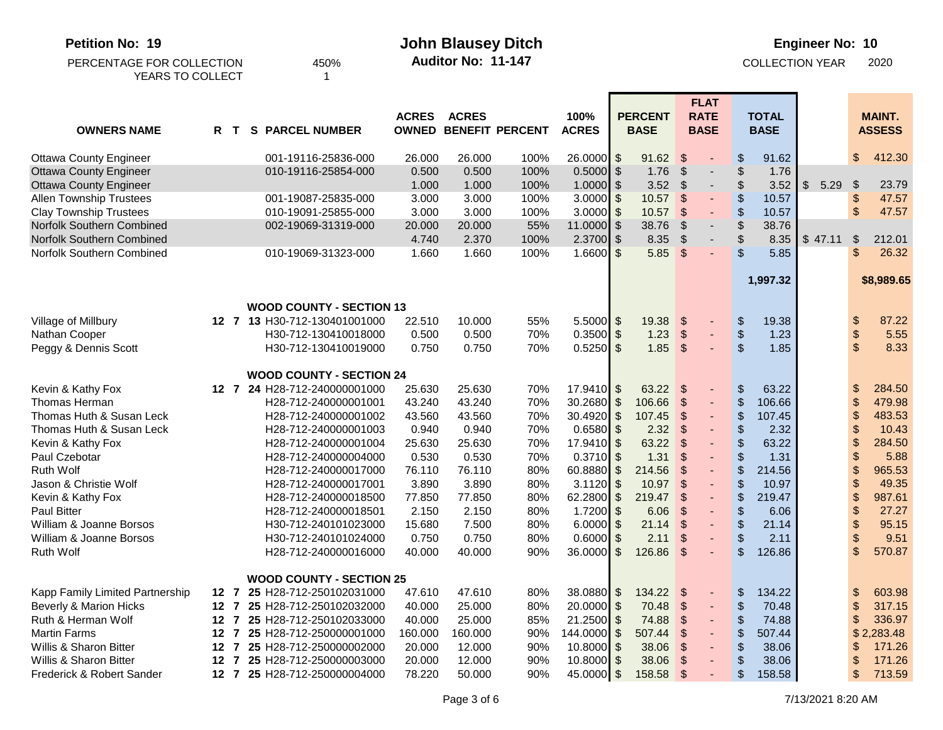| <b>Petition No: 19</b><br>PERCENTAGE FOR COLLECTION<br>YEARS TO COLLECT |     | 450%<br>-1                      |              | <b>John Blausey Ditch</b><br>Auditor No: 11-147 |                              |                      |                           |                               |                           |                                           |                           |                             | <b>Engineer No: 10</b><br><b>COLLECTION YEAR</b> |                           | 2020                           |
|-------------------------------------------------------------------------|-----|---------------------------------|--------------|-------------------------------------------------|------------------------------|----------------------|---------------------------|-------------------------------|---------------------------|-------------------------------------------|---------------------------|-----------------------------|--------------------------------------------------|---------------------------|--------------------------------|
| <b>OWNERS NAME</b>                                                      | R T | <b>S PARCEL NUMBER</b>          | <b>ACRES</b> | <b>ACRES</b>                                    | <b>OWNED BENEFIT PERCENT</b> | 100%<br><b>ACRES</b> |                           | <b>PERCENT</b><br><b>BASE</b> |                           | <b>FLAT</b><br><b>RATE</b><br><b>BASE</b> |                           | <b>TOTAL</b><br><b>BASE</b> |                                                  |                           | <b>MAINT.</b><br><b>ASSESS</b> |
| <b>Ottawa County Engineer</b>                                           |     | 001-19116-25836-000             | 26.000       | 26.000                                          | 100%                         | $26.0000$ \$         |                           | 91.62                         | $\sqrt[6]{\frac{1}{2}}$   |                                           | \$                        | 91.62                       |                                                  | \$                        | 412.30                         |
| <b>Ottawa County Engineer</b>                                           |     | 010-19116-25854-000             | 0.500        | 0.500                                           | 100%                         | 0.5000               | $\sqrt{2}$                | 1.76                          | $\boldsymbol{\mathsf{S}}$ | $\overline{\phantom{0}}$                  | $\boldsymbol{\mathsf{S}}$ | 1.76                        |                                                  |                           |                                |
| <b>Ottawa County Engineer</b>                                           |     |                                 | 1.000        | 1.000                                           | 100%                         | $1.0000$ \$          |                           | 3.52                          | \$                        |                                           | \$                        | 3.52                        | $\mathsf{\$}$<br>5.29                            | $\boldsymbol{\mathsf{S}}$ | 23.79                          |
| <b>Allen Township Trustees</b>                                          |     | 001-19087-25835-000             | 3.000        | 3.000                                           | 100%                         | $3.0000$ \$          |                           | 10.57                         | $\boldsymbol{\mathsf{S}}$ | $\qquad \qquad \blacksquare$              | \$                        | 10.57                       |                                                  | $\boldsymbol{\$}$         | 47.57                          |
| <b>Clay Township Trustees</b>                                           |     | 010-19091-25855-000             | 3.000        | 3.000                                           | 100%                         | 3.0000               | \$                        | 10.57                         | $\mathcal{S}$             |                                           | $\frac{1}{2}$             | 10.57                       |                                                  | $\boldsymbol{\mathsf{S}}$ | 47.57                          |
| Norfolk Southern Combined                                               |     | 002-19069-31319-000             | 20.000       | 20.000                                          | 55%                          | 11.0000              | \$                        | 38.76                         | $\mathfrak{S}$            |                                           | $\frac{1}{2}$             | 38.76                       |                                                  |                           |                                |
| Norfolk Southern Combined                                               |     |                                 | 4.740        | 2.370                                           | 100%                         | 2.3700               | \$                        | 8.35                          | $\sqrt{2}$                |                                           | \$                        | 8.35                        | \$47.11                                          | \$                        | 212.01                         |
| Norfolk Southern Combined                                               |     | 010-19069-31323-000             | 1.660        | 1.660                                           | 100%                         | $1.6600$ \$          |                           | 5.85                          | -\$                       |                                           | \$                        | 5.85                        |                                                  | \$                        | 26.32                          |
|                                                                         |     |                                 |              |                                                 |                              |                      |                           |                               |                           |                                           |                           |                             |                                                  |                           |                                |
|                                                                         |     |                                 |              |                                                 |                              |                      |                           |                               |                           |                                           |                           | 1,997.32                    |                                                  |                           | \$8,989.65                     |
|                                                                         |     |                                 |              |                                                 |                              |                      |                           |                               |                           |                                           |                           |                             |                                                  |                           |                                |
|                                                                         |     | <b>WOOD COUNTY - SECTION 13</b> |              |                                                 |                              |                      |                           |                               |                           |                                           |                           |                             |                                                  |                           |                                |
| Village of Millbury                                                     |     | 12 7 13 H30-712-130401001000    | 22.510       | 10.000                                          | 55%                          | $5.5000$ \$          |                           | 19.38                         | $\sqrt[6]{\frac{1}{2}}$   |                                           | $\boldsymbol{\theta}$     | 19.38                       |                                                  | \$                        | 87.22                          |
| Nathan Cooper                                                           |     | H30-712-130410018000            | 0.500        | 0.500                                           | 70%                          | $0.3500$ \$          |                           | 1.23                          | $\frac{1}{2}$             |                                           | $\boldsymbol{\theta}$     | 1.23                        |                                                  | $\boldsymbol{\$}$         | 5.55                           |
| Peggy & Dennis Scott                                                    |     | H30-712-130410019000            | 0.750        | 0.750                                           | 70%                          | $0.5250$ \$          |                           | 1.85                          | $\sqrt{2}$                |                                           | $\sqrt[6]{\frac{1}{2}}$   | 1.85                        |                                                  | $\boldsymbol{\mathsf{S}}$ | 8.33                           |
|                                                                         |     | <b>WOOD COUNTY - SECTION 24</b> |              |                                                 |                              |                      |                           |                               |                           |                                           |                           |                             |                                                  |                           |                                |
| Kevin & Kathy Fox                                                       |     | 12 7 24 H28-712-240000001000    | 25.630       | 25.630                                          | 70%                          | $17.9410$ \$         |                           | 63.22                         | \$                        |                                           | $\frac{1}{2}$             | 63.22                       |                                                  | \$                        | 284.50                         |
| Thomas Herman                                                           |     | H28-712-240000001001            | 43.240       | 43.240                                          | 70%                          | 30.2680              | $\sqrt[6]{3}$             | 106.66                        | $\frac{1}{2}$             | $\blacksquare$                            | $\boldsymbol{\theta}$     | 106.66                      |                                                  | \$                        | 479.98                         |
| Thomas Huth & Susan Leck                                                |     | H28-712-240000001002            | 43.560       | 43.560                                          | 70%                          | 30.4920              | $\boldsymbol{\mathsf{S}}$ | 107.45                        | $\frac{1}{2}$             |                                           | $\boldsymbol{\theta}$     | 107.45                      |                                                  | \$                        | 483.53                         |
| Thomas Huth & Susan Leck                                                |     | H28-712-240000001003            | 0.940        | 0.940                                           | 70%                          | 0.6580               | $\sqrt[6]{3}$             | 2.32                          | $\boldsymbol{\mathsf{S}}$ |                                           | $\,$                      | 2.32                        |                                                  | \$                        | 10.43                          |
| Kevin & Kathy Fox                                                       |     | H28-712-240000001004            | 25.630       | 25.630                                          | 70%                          | $17.9410$ \$         |                           | 63.22                         | $\boldsymbol{\mathsf{S}}$ | $\overline{\phantom{0}}$                  | $\boldsymbol{\mathsf{S}}$ | 63.22                       |                                                  | \$                        | 284.50                         |
| Paul Czebotar                                                           |     | H28-712-240000004000            | 0.530        | 0.530                                           | 70%                          | $0.3710$ \$          |                           | 1.31                          | $\boldsymbol{\mathsf{S}}$ |                                           | \$                        | 1.31                        |                                                  | \$                        | 5.88                           |
| <b>Ruth Wolf</b>                                                        |     | H28-712-240000017000            | 76.110       | 76.110                                          | 80%                          | 60.8880              | $\sqrt[6]{3}$             | 214.56                        | \$                        | ٠                                         | $\boldsymbol{\mathsf{S}}$ | 214.56                      |                                                  | \$                        | 965.53                         |
| Jason & Christie Wolf                                                   |     | H28-712-240000017001            | 3.890        | 3.890                                           | 80%                          | 3.1120               | \$                        | 10.97                         | $\boldsymbol{\mathsf{S}}$ |                                           | \$                        | 10.97                       |                                                  | \$                        | 49.35                          |
| Kevin & Kathy Fox                                                       |     | H28-712-240000018500            | 77.850       | 77.850                                          | 80%                          | 62.2800              | \$                        | 219.47                        | $\mathcal{S}$             |                                           | $\boldsymbol{\mathsf{S}}$ | 219.47                      |                                                  | \$                        | 987.61                         |
| Paul Bitter                                                             |     | H28-712-240000018501            | 2.150        | 2.150                                           | 80%                          | 1.7200               | \$                        | 6.06                          | $\boldsymbol{\mathsf{S}}$ | ٠                                         | $\$\$                     | 6.06                        |                                                  | $\boldsymbol{\theta}$     | 27.27                          |
| William & Joanne Borsos                                                 |     | H30-712-240101023000            | 15.680       | 7.500                                           | 80%                          | 6.0000               | \$                        | 21.14                         | $\boldsymbol{\mathsf{S}}$ |                                           | $\frac{1}{2}$             | 21.14                       |                                                  | $\boldsymbol{\theta}$     | 95.15                          |
| William & Joanne Borsos                                                 |     | H30-712-240101024000            | 0.750        | 0.750                                           | 80%                          | 0.6000               | \$                        | 2.11                          | \$                        |                                           | $\frac{1}{2}$             | 2.11                        |                                                  | \$                        | 9.51                           |
| <b>Ruth Wolf</b>                                                        |     | H28-712-240000016000            | 40.000       | 40.000                                          | 90%                          | 36.0000              | \$                        | 126.86                        | $\boldsymbol{\mathsf{S}}$ |                                           | $\mathcal{S}$             | 126.86                      |                                                  | \$                        | 570.87                         |
|                                                                         |     |                                 |              |                                                 |                              |                      |                           |                               |                           |                                           |                           |                             |                                                  |                           |                                |
|                                                                         |     | <b>WOOD COUNTY - SECTION 25</b> |              |                                                 |                              |                      |                           |                               |                           |                                           |                           |                             |                                                  |                           |                                |
| Kapp Family Limited Partnership                                         |     | 12 7 25 H28-712-250102031000    | 47.610       | 47.610                                          | 80%                          | 38.0880 \$           |                           | 134.22                        | - \$                      |                                           | \$                        | 134.22                      |                                                  | \$                        | 603.98                         |
| <b>Beverly &amp; Marion Hicks</b>                                       |     | 12 7 25 H28-712-250102032000    | 40.000       | 25.000                                          | 80%                          | $20.0000$ \$         |                           | 70.48                         | \$                        |                                           | \$                        | 70.48                       |                                                  | \$                        | 317.15                         |
| Ruth & Herman Wolf                                                      |     | 12 7 25 H28-712-250102033000    | 40.000       | 25.000                                          | 85%                          | $21.2500$ \$         |                           | 74.88                         | \$                        |                                           | $\frac{1}{2}$             | 74.88                       |                                                  | \$                        | 336.97                         |
| <b>Martin Farms</b>                                                     |     | 12 7 25 H28-712-250000001000    | 160.000      | 160.000                                         | 90%                          | 144.0000             | \$                        | 507.44                        | \$                        |                                           | \$                        | 507.44                      |                                                  |                           | \$2,283.48                     |
| Willis & Sharon Bitter                                                  |     | 12 7 25 H28-712-250000002000    | 20.000       | 12.000                                          | 90%                          | 10.8000              | \$                        | 38.06                         | \$                        |                                           | \$                        | 38.06                       |                                                  | S                         | 171.26                         |
| Willis & Sharon Bitter                                                  |     | 12 7 25 H28-712-250000003000    | 20.000       | 12.000                                          | 90%                          | $10.8000$ \$         |                           | 38.06                         | \$                        |                                           | $\frac{1}{2}$             | 38.06                       |                                                  | \$                        | 171.26                         |
| Frederick & Robert Sander                                               |     | 12 7 25 H28-712-250000004000    | 78.220       | 50.000                                          | 90%                          | 45.0000 \$           |                           | 158.58                        | -\$                       |                                           | \$                        | 158.58                      |                                                  | \$                        | 713.59                         |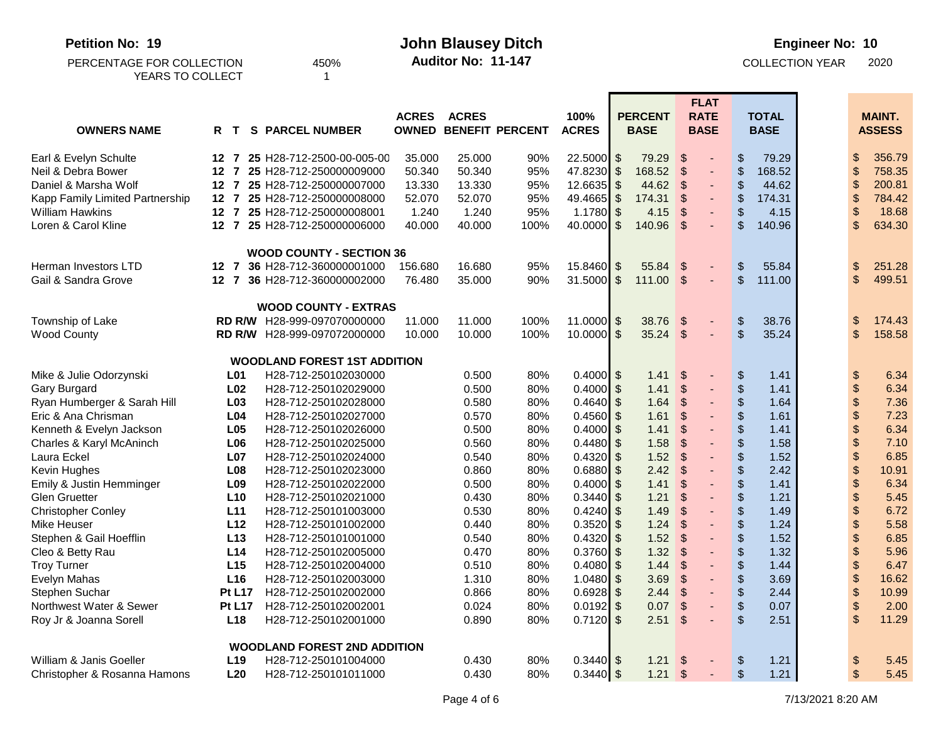| <b>Petition No: 19</b>          |              |                 |                                     |              |              |                              | <b>Engineer No: 10</b> |                                     |                                                           |                               |  |                            |                                |
|---------------------------------|--------------|-----------------|-------------------------------------|--------------|--------------|------------------------------|------------------------|-------------------------------------|-----------------------------------------------------------|-------------------------------|--|----------------------------|--------------------------------|
| PERCENTAGE FOR COLLECTION       |              |                 | 450%                                |              |              |                              |                        | <b>COLLECTION YEAR</b>              |                                                           | 2020                          |  |                            |                                |
| YEARS TO COLLECT                |              |                 |                                     |              |              |                              |                        |                                     |                                                           |                               |  |                            |                                |
|                                 |              |                 |                                     |              |              |                              |                        |                                     | <b>FLAT</b>                                               |                               |  |                            |                                |
| <b>OWNERS NAME</b>              | R T          |                 | <b>PARCEL NUMBER</b><br>S.          | <b>ACRES</b> | <b>ACRES</b> | <b>OWNED BENEFIT PERCENT</b> | 100%<br><b>ACRES</b>   | <b>PERCENT</b><br><b>BASE</b>       | <b>RATE</b><br><b>BASE</b>                                | <b>TOTAL</b><br><b>BASE</b>   |  |                            | <b>MAINT.</b><br><b>ASSESS</b> |
|                                 |              |                 |                                     |              |              |                              |                        |                                     |                                                           |                               |  |                            |                                |
| Earl & Evelyn Schulte           |              |                 | 12 7 25 H28-712-2500-00-005-00      | 35.000       | 25.000       | 90%                          | $22.5000$ \$           | 79.29                               | $\frac{1}{2}$                                             | 79.29<br>\$                   |  | S                          | 356.79                         |
| Neil & Debra Bower              |              |                 | 12 7 25 H28-712-250000009000        | 50.340       | 50.340       | 95%                          | 47.8230                | $\sqrt[6]{3}$<br>168.52             | $\boldsymbol{\mathsf{S}}$                                 | $\frac{1}{2}$<br>168.52       |  | \$                         | 758.35                         |
| Daniel & Marsha Wolf            |              |                 | 12 7 25 H28-712-250000007000        | 13.330       | 13.330       | 95%                          | $12.6635$ \$           | 44.62                               | $\sqrt[6]{\frac{1}{2}}$<br>$\qquad \qquad \blacksquare$   | $\frac{1}{2}$<br>44.62        |  | \$                         | 200.81                         |
| Kapp Family Limited Partnership |              |                 | 12 7 25 H28-712-250000008000        | 52.070       | 52.070       | 95%                          | 49.4665                | $\boldsymbol{\mathsf{S}}$<br>174.31 | \$                                                        | \$<br>174.31                  |  | \$                         | 784.42                         |
| <b>William Hawkins</b>          |              |                 | 12 7 25 H28-712-250000008001        | 1.240        | 1.240        | 95%                          | 1.1780                 | \$<br>4.15                          | $\boldsymbol{\mathsf{S}}$                                 | \$<br>4.15                    |  | \$                         | 18.68                          |
| Loren & Carol Kline             |              |                 | 12 7 25 H28-712-250000006000        | 40.000       | 40.000       | 100%                         | 40.0000                | $\mathbb{S}$<br>140.96              | $\mathfrak{L}$                                            | \$<br>140.96                  |  | \$                         | 634.30                         |
|                                 |              |                 | <b>WOOD COUNTY - SECTION 36</b>     |              |              |                              |                        |                                     |                                                           |                               |  |                            |                                |
| Herman Investors LTD            |              |                 | 12 7 36 H28-712-360000001000        | 156.680      | 16.680       | 95%                          | 15.8460                | \$<br>55.84                         | $\sqrt[6]{\frac{1}{2}}$                                   | \$<br>55.84                   |  | \$                         | 251.28                         |
| Gail & Sandra Grove             | $12 \quad 7$ |                 | 36 H28-712-360000002000             | 76.480       | 35.000       | 90%                          | 31.5000                | $\sqrt[6]{2}$<br>111.00             | $\sqrt{3}$<br>$\blacksquare$                              | $\mathfrak{S}$<br>111.00      |  | $\sqrt[6]{\frac{1}{2}}$    | 499.51                         |
|                                 |              |                 | <b>WOOD COUNTY - EXTRAS</b>         |              |              |                              |                        |                                     |                                                           |                               |  |                            |                                |
| Township of Lake                |              |                 | RD R/W H28-999-097070000000         | 11.000       | 11.000       | 100%                         | $11.0000$ \$           | 38.76                               | $\boldsymbol{\mathsf{S}}$                                 | \$<br>38.76                   |  | \$                         | 174.43                         |
| <b>Wood County</b>              |              |                 | RD R/W H28-999-097072000000         | 10.000       | 10.000       | 100%                         | $10.0000$ \$           | 35.24                               | $\boldsymbol{\mathsf{S}}$                                 | $\mathcal{S}$<br>35.24        |  | $\sqrt[6]{\frac{1}{2}}$    | 158.58                         |
|                                 |              |                 | <b>WOODLAND FOREST 1ST ADDITION</b> |              |              |                              |                        |                                     |                                                           |                               |  |                            |                                |
| Mike & Julie Odorzynski         |              | L01             | H28-712-250102030000                |              | 0.500        | 80%                          | $0.4000$ \$            | 1.41                                | \$                                                        | \$<br>1.41                    |  | \$                         | 6.34                           |
| Gary Burgard                    |              | L <sub>02</sub> | H28-712-250102029000                |              | 0.500        | 80%                          | $0.4000$ \$            | 1.41                                | $\frac{1}{2}$                                             | $\boldsymbol{\theta}$<br>1.41 |  | $\boldsymbol{\$}$          | 6.34                           |
| Ryan Humberger & Sarah Hill     |              | L <sub>03</sub> | H28-712-250102028000                |              | 0.580        | 80%                          | 0.4640                 | $\mathfrak{L}$<br>1.64              | $\frac{1}{2}$<br>$\qquad \qquad \blacksquare$             | $\boldsymbol{\$}$<br>1.64     |  | $\boldsymbol{\mathsf{\$}}$ | 7.36                           |
| Eric & Ana Chrisman             |              | L <sub>04</sub> | H28-712-250102027000                |              | 0.570        | 80%                          | 0.4560                 | 1.61<br>\$                          | $\boldsymbol{\mathsf{S}}$                                 | \$<br>1.61                    |  | $\boldsymbol{\mathsf{\$}}$ | 7.23                           |
| Kenneth & Evelyn Jackson        |              | L05             | H28-712-250102026000                |              | 0.500        | 80%                          | 0.4000                 | $\mathfrak{L}$<br>1.41              | $\mathfrak{S}$                                            | \$<br>1.41                    |  | $\boldsymbol{\$}$          | 6.34                           |
| Charles & Karyl McAninch        |              | L06             | H28-712-250102025000                |              | 0.560        | 80%                          | $0.4480$ \$            | 1.58                                | \$                                                        | \$<br>1.58                    |  | \$                         | 7.10                           |
| Laura Eckel                     |              | L <sub>07</sub> | H28-712-250102024000                |              | 0.540        | 80%                          | 0.4320                 | 1.52<br>$\mathfrak{L}$              | $\boldsymbol{\mathsf{S}}$                                 | \$<br>1.52                    |  | \$                         | 6.85                           |
| Kevin Hughes                    |              | L <sub>08</sub> | H28-712-250102023000                |              | 0.860        | 80%                          | 0.6880                 | 2.42<br>\$                          | $\boldsymbol{\mathsf{S}}$<br>$\qquad \qquad \blacksquare$ | \$<br>2.42                    |  | \$                         | 10.91                          |
| Emily & Justin Hemminger        |              | L <sub>09</sub> | H28-712-250102022000                |              | 0.500        | 80%                          | 0.4000                 | 1.41<br>\$                          | $\boldsymbol{\mathsf{S}}$                                 | \$<br>1.41                    |  | \$                         | 6.34                           |
| <b>Glen Gruetter</b>            |              | L10             | H28-712-250102021000                |              | 0.430        | 80%                          | 0.3440                 | 1.21<br>\$                          | $\mathfrak{S}$                                            | \$<br>1.21                    |  | \$                         | 5.45                           |
| <b>Christopher Conley</b>       |              | L11             | H28-712-250101003000                |              | 0.530        | 80%                          | 0.4240                 | 1.49<br>\$                          | $\boldsymbol{\mathsf{S}}$                                 | \$<br>1.49                    |  | \$                         | 6.72                           |
| Mike Heuser                     |              | L12             | H28-712-250101002000                |              | 0.440        | 80%                          | 0.3520                 | $\mathfrak{L}$<br>1.24              | $\boldsymbol{\mathsf{S}}$                                 | $\boldsymbol{\theta}$<br>1.24 |  | \$                         | 5.58                           |
| Stephen & Gail Hoefflin         |              | L13             | H28-712-250101001000                |              | 0.540        | 80%                          | 0.4320                 | 1.52<br>\$                          | $\frac{1}{2}$<br>$\qquad \qquad \blacksquare$             | \$<br>1.52                    |  | \$                         | 6.85                           |
| Cleo & Betty Rau                |              | L14             | H28-712-250102005000                |              | 0.470        | 80%                          | 0.3760                 | 1.32<br>\$                          | $\frac{1}{2}$<br>٠                                        | \$<br>1.32                    |  | \$                         | 5.96                           |
| <b>Troy Turner</b>              |              | L15             | H28-712-250102004000                |              | 0.510        | 80%                          | $0.4080$ \$            | 1.44                                | \$                                                        | \$<br>1.44                    |  | $\mathcal{S}$              | 6.47                           |
| Evelyn Mahas                    |              | L16             | H28-712-250102003000                |              | 1.310        | 80%                          | $1.0480$ \$            | 3.69                                | $\boldsymbol{\mathcal{F}}$                                | \$<br>3.69                    |  | \$                         | 16.62                          |
| Stephen Suchar                  |              | <b>Pt L17</b>   | H28-712-250102002000                |              | 0.866        | 80%                          | $0.6928$ \$            | 2.44                                | \$                                                        | $\boldsymbol{\$}$<br>2.44     |  | \$                         | 10.99                          |
| Northwest Water & Sewer         |              | <b>Pt L17</b>   | H28-712-250102002001                |              | 0.024        | 80%                          | $0.0192$ \$            | 0.07                                | $\sqrt[6]{3}$                                             | \$<br>0.07                    |  | \$                         | 2.00                           |
| Roy Jr & Joanna Sorell          |              | L18             | H28-712-250102001000                |              | 0.890        | 80%                          | $0.7120$ \$            | 2.51                                | \$                                                        | $\frac{2}{3}$<br>2.51         |  | $\frac{1}{2}$              | 11.29                          |
|                                 |              |                 | <b>WOODLAND FOREST 2ND ADDITION</b> |              |              |                              |                        |                                     |                                                           |                               |  |                            |                                |
| William & Janis Goeller         |              | L <sub>19</sub> | H28-712-250101004000                |              | 0.430        | 80%                          | $0.3440$ \$            | 1.21                                | $\sqrt{S}$                                                | 1.21<br>\$                    |  | \$                         | 5.45                           |
| Christopher & Rosanna Hamons    |              | L20             | H28-712-250101011000                |              | 0.430        | 80%                          | $0.3440$ \$            | $1.21$ \$                           |                                                           | $\$\$<br>1.21                 |  | $\boldsymbol{\mathsf{S}}$  | 5.45                           |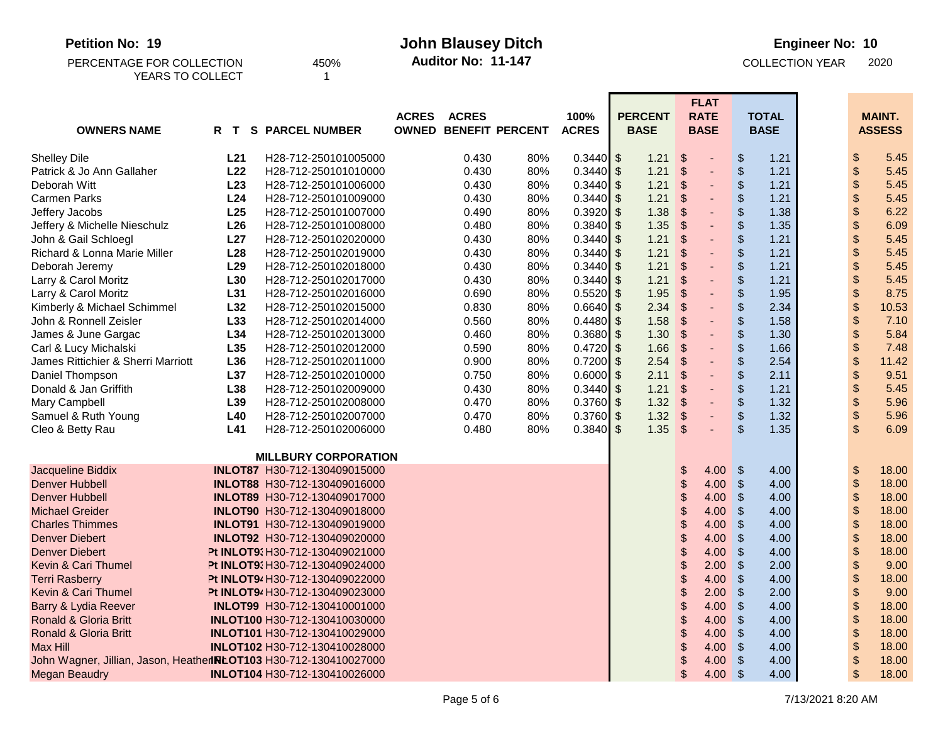**Petition No: 19 John Blausey Ditch**

450% **Auditor No: 11-147** COLLECTION YEAR 2020

| PERCENTAGE FOR COLLECTION | 450 |
|---------------------------|-----|
| YEARS TO COLLECT          |     |

**Auditor No: 11-147**

| <b>OWNERS NAME</b>                                                | R T             | <b>S PARCEL NUMBER</b>              | <b>ACRES</b> | <b>ACRES</b> | <b>OWNED BENEFIT PERCENT</b> | 100%<br><b>ACRES</b> | <b>PERCENT</b><br><b>BASE</b> |                                 | <b>FLAT</b><br><b>RATE</b><br><b>BASE</b> |                         | <b>TOTAL</b><br><b>BASE</b> |                            | <b>MAINT.</b><br><b>ASSESS</b> |
|-------------------------------------------------------------------|-----------------|-------------------------------------|--------------|--------------|------------------------------|----------------------|-------------------------------|---------------------------------|-------------------------------------------|-------------------------|-----------------------------|----------------------------|--------------------------------|
|                                                                   | L21             | H28-712-250101005000                |              | 0.430        |                              | $0.3440$ \$          |                               |                                 |                                           |                         | 1.21                        |                            | 5.45                           |
| <b>Shelley Dile</b><br>Patrick & Jo Ann Gallaher                  | L22             | H28-712-250101010000                |              | 0.430        | 80%<br>80%                   | $0.3440$ \$          | 1.21<br>1.21                  | \$<br>$\boldsymbol{\mathsf{S}}$ | ÷,                                        | \$<br>$\frac{1}{2}$     | 1.21                        | \$<br>\$                   | 5.45                           |
| Deborah Witt                                                      | L23             | H28-712-250101006000                |              | 0.430        | 80%                          | 0.3440               | $\sqrt{2}$<br>1.21            | \$                              | ٠                                         | \$                      | 1.21                        | \$                         | 5.45                           |
| Carmen Parks                                                      | L24             | H28-712-250101009000                |              | 0.430        | 80%                          | 0.3440               | $\mathfrak{F}$<br>1.21        | $\boldsymbol{\mathsf{S}}$       | ÷,                                        | \$                      | 1.21                        | \$                         | 5.45                           |
| Jeffery Jacobs                                                    | L25             | H28-712-250101007000                |              | 0.490        | 80%                          | 0.3920               | $\sqrt{3}$<br>1.38            | \$                              | $\blacksquare$                            | \$                      | 1.38                        | \$                         | 6.22                           |
| Jeffery & Michelle Nieschulz                                      | L26             | H28-712-250101008000                |              | 0.480        | 80%                          | $0.3840$ \$          | 1.35                          | $\sqrt{2}$                      | ÷,                                        | \$                      | 1.35                        | \$                         | 6.09                           |
| John & Gail Schloegl                                              | L27             | H28-712-250102020000                |              | 0.430        | 80%                          | 0.3440               | $\sqrt{2}$<br>1.21            | \$                              | ٠                                         | \$                      | 1.21                        | \$                         | 5.45                           |
| Richard & Lonna Marie Miller                                      | L28             | H28-712-250102019000                |              | 0.430        | 80%                          | 0.3440               | $\sqrt{2}$<br>1.21            | $\boldsymbol{\mathsf{S}}$       | ÷,                                        | \$                      | 1.21                        | $\boldsymbol{\$}$          | 5.45                           |
| Deborah Jeremy                                                    | L <sub>29</sub> | H28-712-250102018000                |              | 0.430        | 80%                          | 0.3440               | 1.21<br>$\sqrt{2}$            | \$                              | ٠                                         | \$                      | 1.21                        | \$                         | 5.45                           |
| Larry & Carol Moritz                                              | L30             | H28-712-250102017000                |              | 0.430        | 80%                          | 0.3440               | $\sqrt{3}$<br>1.21            | \$                              | ÷,                                        | \$                      | 1.21                        | \$                         | 5.45                           |
| Larry & Carol Moritz                                              | L31             | H28-712-250102016000                |              | 0.690        | 80%                          | 0.5520               | \$<br>1.95                    | $\boldsymbol{\mathsf{S}}$       | ÷,                                        | \$                      | 1.95                        | $\boldsymbol{\mathsf{\$}}$ | 8.75                           |
| Kimberly & Michael Schimmel                                       | L32             | H28-712-250102015000                |              | 0.830        | 80%                          | 0.6640               | $\sqrt{2}$<br>2.34            | $\boldsymbol{\mathsf{S}}$       |                                           | \$                      | 2.34                        | \$                         | 10.53                          |
| John & Ronnell Zeisler                                            | L33             | H28-712-250102014000                |              | 0.560        | 80%                          | 0.4480               | 1.58<br>$\frac{1}{2}$         | \$                              |                                           | \$                      | 1.58                        | $\boldsymbol{\$}$          | 7.10                           |
| James & June Gargac                                               | L34             | H28-712-250102013000                |              | 0.460        | 80%                          | 0.3680               | 1.30<br>$\sqrt{3}$            | \$                              | ÷,                                        | \$                      | 1.30                        | \$                         | 5.84                           |
| Carl & Lucy Michalski                                             | L35             | H28-712-250102012000                |              | 0.590        | 80%                          | 0.4720               | $\sqrt{2}$<br>1.66            | $\boldsymbol{\mathsf{S}}$       | ÷,                                        | \$                      | 1.66                        | $\boldsymbol{\$}$          | 7.48                           |
| James Rittichier & Sherri Marriott                                | L36             | H28-712-250102011000                |              | 0.900        | 80%                          | 0.7200               | $\mathfrak{F}$<br>2.54        | $\boldsymbol{\mathsf{S}}$       | ÷,                                        | \$                      | 2.54                        | $\boldsymbol{\$}$          | 11.42                          |
| Daniel Thompson                                                   | L37             | H28-712-250102010000                |              | 0.750        | 80%                          | 0.6000               | $\sqrt{2}$<br>2.11            | $\boldsymbol{\mathsf{S}}$       | $\overline{\phantom{0}}$                  | \$                      | 2.11                        | \$                         | 9.51                           |
| Donald & Jan Griffith                                             | L38             | H28-712-250102009000                |              | 0.430        | 80%                          | 0.3440               | $\sqrt[6]{3}$<br>1.21         | \$                              | ٠                                         | \$                      | 1.21                        | \$                         | 5.45                           |
| Mary Campbell                                                     | L39             | H28-712-250102008000                |              | 0.470        | 80%                          | 0.3760               | $\mathfrak{F}$<br>1.32        | $\boldsymbol{\mathsf{S}}$       | ٠                                         | \$                      | 1.32                        | $\boldsymbol{\$}$          | 5.96                           |
| Samuel & Ruth Young                                               | L40             | H28-712-250102007000                |              | 0.470        | 80%                          | $0.3760$ \$          | 1.32                          | $\sqrt{2}$                      | ٠                                         | $\,$                    | 1.32                        | \$                         | 5.96                           |
| Cleo & Betty Rau                                                  | L41             | H28-712-250102006000                |              | 0.480        | 80%                          | $0.3840$ \$          | 1.35                          | $\mathfrak{s}$                  | ÷,                                        | $\mathfrak{S}$          | 1.35                        | $\mathsf{\$}$              | 6.09                           |
|                                                                   |                 | <b>MILLBURY CORPORATION</b>         |              |              |                              |                      |                               |                                 |                                           |                         |                             |                            |                                |
| Jacqueline Biddix                                                 |                 | INLOT87 H30-712-130409015000        |              |              |                              |                      |                               | \$                              | 4.00                                      | $\frac{1}{2}$           | 4.00                        | $\boldsymbol{\$}$          | 18.00                          |
| <b>Denver Hubbell</b>                                             |                 | INLOT88 H30-712-130409016000        |              |              |                              |                      |                               | \$                              | 4.00                                      | $\sqrt[6]{\frac{1}{2}}$ | 4.00                        | \$                         | 18.00                          |
| <b>Denver Hubbell</b>                                             |                 | <b>INLOT89 H30-712-130409017000</b> |              |              |                              |                      |                               | \$                              | 4.00                                      | $\frac{1}{2}$           | 4.00                        | $\boldsymbol{\$}$          | 18.00                          |
| <b>Michael Greider</b>                                            |                 | INLOT90 H30-712-130409018000        |              |              |                              |                      |                               | \$                              | 4.00                                      | $\frac{1}{2}$           | 4.00                        | $\boldsymbol{\$}$          | 18.00                          |
| <b>Charles Thimmes</b>                                            |                 | INLOT91 H30-712-130409019000        |              |              |                              |                      |                               | \$                              | 4.00                                      | $\frac{1}{2}$           | 4.00                        | \$                         | 18.00                          |
| <b>Denver Diebert</b>                                             |                 | INLOT92 H30-712-130409020000        |              |              |                              |                      |                               | \$                              | 4.00                                      | $\frac{1}{2}$           | 4.00                        | \$                         | 18.00                          |
| <b>Denver Diebert</b>                                             |                 | Pt INLOT9: H30-712-130409021000     |              |              |                              |                      |                               | \$                              | 4.00                                      | $\frac{1}{2}$           | 4.00                        | $\boldsymbol{\$}$          | 18.00                          |
| <b>Kevin &amp; Cari Thumel</b>                                    |                 | Pt INLOT9: H30-712-130409024000     |              |              |                              |                      |                               | \$                              | 2.00                                      | \$                      | 2.00                        | \$                         | 9.00                           |
| <b>Terri Rasberry</b>                                             |                 | Pt INLOT9/H30-712-130409022000      |              |              |                              |                      |                               | \$                              | 4.00                                      | $\frac{1}{2}$           | 4.00                        | $\boldsymbol{\mathsf{\$}}$ | 18.00                          |
| Kevin & Cari Thumel                                               |                 | Pt INLOT94 H30-712-130409023000     |              |              |                              |                      |                               | \$                              | 2.00                                      | \$                      | 2.00                        | \$                         | 9.00                           |
| Barry & Lydia Reever                                              |                 | <b>INLOT99 H30-712-130410001000</b> |              |              |                              |                      |                               | \$                              | 4.00                                      | $\frac{1}{2}$           | 4.00                        | \$                         | 18.00                          |
| Ronald & Gloria Britt                                             |                 | INLOT100 H30-712-130410030000       |              |              |                              |                      |                               | \$                              | 4.00                                      | $\frac{1}{2}$           | 4.00                        | $\boldsymbol{\$}$          | 18.00                          |
| Ronald & Gloria Britt                                             |                 | INLOT101 H30-712-130410029000       |              |              |                              |                      |                               | \$                              | 4.00                                      | $\frac{1}{2}$           | 4.00                        | \$                         | 18.00                          |
| <b>Max Hill</b>                                                   |                 | INLOT102 H30-712-130410028000       |              |              |                              |                      |                               | \$                              | 4.00                                      | $\frac{1}{2}$           | 4.00                        | \$                         | 18.00                          |
| John Wagner, Jillian, Jason, HeatherINLOT103 H30-712-130410027000 |                 |                                     |              |              |                              |                      |                               | \$                              | 4.00                                      | $\frac{1}{2}$           | 4.00                        | \$                         | 18.00                          |
| <b>Megan Beaudry</b>                                              |                 | INLOT104 H30-712-130410026000       |              |              |                              |                      |                               | \$                              | 4.00                                      | $\mathcal{S}$           | 4.00                        | \$                         | 18.00                          |